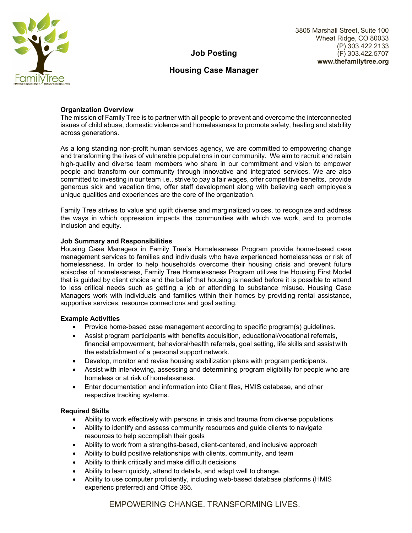

3805 Marshall Street, Suite 100 Wheat Ridge, CO 80033 (P) 303.422.2133 (F) 303.422.5707 **www.thefamilytree.org**

# **Job Posting**

## **Housing Case Manager**

## **Organization Overview**

The mission of Family Tree is to partner with all people to prevent and overcome the interconnected issues of child abuse, domestic violence and homelessness to promote safety, healing and stability across generations.

As a long standing non-profit human services agency, we are committed to empowering change and transforming the lives of vulnerable populations in our community. We aim to recruit and retain high-quality and diverse team members who share in our commitment and vision to empower people and transform our community through innovative and integrated services. We are also committed to investing in our team i.e., strive to pay a fair wages, offer competitive benefits, provide generous sick and vacation time, offer staff development along with believing each employee's unique qualities and experiences are the core of the organization.

Family Tree strives to value and uplift diverse and marginalized voices, to recognize and address the ways in which oppression impacts the communities with which we work, and to promote inclusion and equity.

### **Job Summary and Responsibilities**

Housing Case Managers in Family Tree's Homelessness Program provide home-based case management services to families and individuals who have experienced homelessness or risk of homelessness. In order to help households overcome their housing crisis and prevent future episodes of homelessness, Family Tree Homelessness Program utilizes the Housing First Model that is guided by client choice and the belief that housing is needed before it is possible to attend to less critical needs such as getting a job or attending to substance misuse. Housing Case Managers work with individuals and families within their homes by providing rental assistance, supportive services, resource connections and goal setting.

#### **Example Activities**

- Provide home-based case management according to specific program(s) guidelines.
- Assist program participants with benefits acquisition, educational/vocational referrals, financial empowerment, behavioral/health referrals, goal setting, life skills and assist with the establishment of a personal support network.
- Develop, monitor and revise housing stabilization plans with program participants.
- Assist with interviewing, assessing and determining program eligibility for people who are homeless or at risk of homelessness.
- Enter documentation and information into Client files, HMIS database, and other respective tracking systems.

#### **Required Skills**

- Ability to work effectively with persons in crisis and trauma from diverse populations
- Ability to identify and assess community resources and guide clients to navigate resources to help accomplish their goals
- Ability to work from a strengths-based, client-centered, and inclusive approach
- Ability to build positive relationships with clients, community, and team
- Ability to think critically and make difficult decisions
- Ability to learn quickly, attend to details, and adapt well to change.
- Ability to use computer proficiently, including web-based database platforms (HMIS experienc preferred) and Office 365.